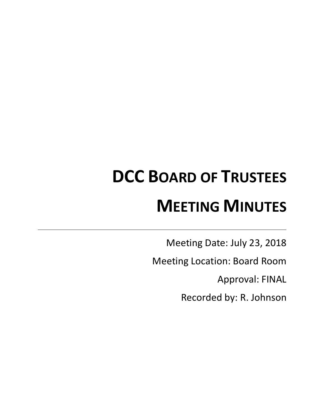# **DCC BOARD OF TRUSTEES MEETING MINUTES**

Meeting Date: July 23, 2018

Meeting Location: Board Room

Approval: FINAL

Recorded by: R. Johnson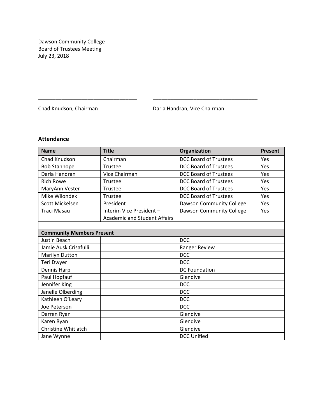Dawson Community College Board of Trustees Meeting July 23, 2018

Chad Knudson, Chairman **Darla Handran, Vice Chairman** 

# **Attendance**

| <b>Name</b>                      | <b>Title</b>                        | Organization                 | <b>Present</b> |
|----------------------------------|-------------------------------------|------------------------------|----------------|
| Chad Knudson                     | Chairman                            | DCC Board of Trustees        | Yes            |
| <b>Bob Stanhope</b>              | Trustee                             | <b>DCC Board of Trustees</b> | Yes            |
| Darla Handran                    | Vice Chairman                       | <b>DCC Board of Trustees</b> | Yes            |
| <b>Rich Rowe</b>                 | Trustee                             | <b>DCC Board of Trustees</b> | Yes            |
| MaryAnn Vester                   | Trustee                             | <b>DCC Board of Trustees</b> | Yes            |
| Mike Wilondek                    | Trustee                             | <b>DCC Board of Trustees</b> | Yes            |
| Scott Mickelsen                  | President                           | Dawson Community College     | Yes            |
| <b>Traci Masau</b>               | Interim Vice President -            | Dawson Community College     | Yes            |
|                                  | <b>Academic and Student Affairs</b> |                              |                |
|                                  |                                     |                              |                |
| <b>Community Members Present</b> |                                     |                              |                |
| <b>Justin Beach</b>              |                                     | <b>DCC</b>                   |                |
| Jamie Ausk Crisafulli            |                                     | Ranger Review                |                |
| Marilyn Dutton                   |                                     | <b>DCC</b>                   |                |
| Teri Dwyer                       |                                     | <b>DCC</b>                   |                |
| Dennis Harp                      |                                     | <b>DC Foundation</b>         |                |
| Paul Hopfauf                     |                                     | Glendive                     |                |
| Jennifer King                    |                                     | <b>DCC</b>                   |                |
| Janelle Olberding                |                                     | <b>DCC</b>                   |                |
| Kathleen O'Leary                 |                                     | <b>DCC</b>                   |                |
| Joe Peterson                     |                                     | <b>DCC</b>                   |                |
| Darren Ryan                      |                                     | Glendive                     |                |
| Karen Ryan                       |                                     | Glendive                     |                |
| Christine Whitlatch              |                                     | Glendive                     |                |
| Jane Wynne                       |                                     | <b>DCC Unified</b>           |                |

\_\_\_\_\_\_\_\_\_\_\_\_\_\_\_\_\_\_\_\_\_\_\_\_\_\_\_\_\_\_\_\_\_\_ \_\_\_\_\_\_\_\_\_\_\_\_\_\_\_\_\_\_\_\_\_\_\_\_\_\_\_\_\_\_\_\_\_\_\_\_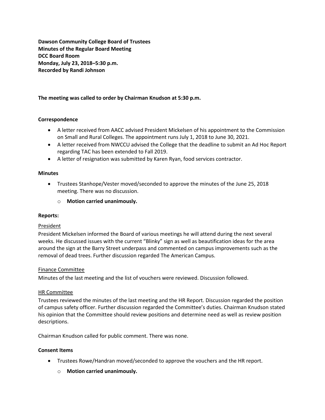**Dawson Community College Board of Trustees Minutes of the Regular Board Meeting DCC Board Room Monday, July 23, 2018–5:30 p.m. Recorded by Randi Johnson**

# **The meeting was called to order by Chairman Knudson at 5:30 p.m.**

## **Correspondence**

- A letter received from AACC advised President Mickelsen of his appointment to the Commission on Small and Rural Colleges. The appointment runs July 1, 2018 to June 30, 2021.
- A letter received from NWCCU advised the College that the deadline to submit an Ad Hoc Report regarding TAC has been extended to Fall 2019.
- A letter of resignation was submitted by Karen Ryan, food services contractor.

## **Minutes**

- Trustees Stanhope/Vester moved/seconded to approve the minutes of the June 25, 2018 meeting. There was no discussion.
	- o **Motion carried unanimously.**

## **Reports:**

## President

President Mickelsen informed the Board of various meetings he will attend during the next several weeks. He discussed issues with the current "Blinky" sign as well as beautification ideas for the area around the sign at the Barry Street underpass and commented on campus improvements such as the removal of dead trees. Further discussion regarded The American Campus.

## Finance Committee

Minutes of the last meeting and the list of vouchers were reviewed. Discussion followed.

## HR Committee

Trustees reviewed the minutes of the last meeting and the HR Report. Discussion regarded the position of campus safety officer. Further discussion regarded the Committee's duties. Chairman Knudson stated his opinion that the Committee should review positions and determine need as well as review position descriptions.

Chairman Knudson called for public comment. There was none.

#### **Consent Items**

- Trustees Rowe/Handran moved/seconded to approve the vouchers and the HR report.
	- o **Motion carried unanimously.**